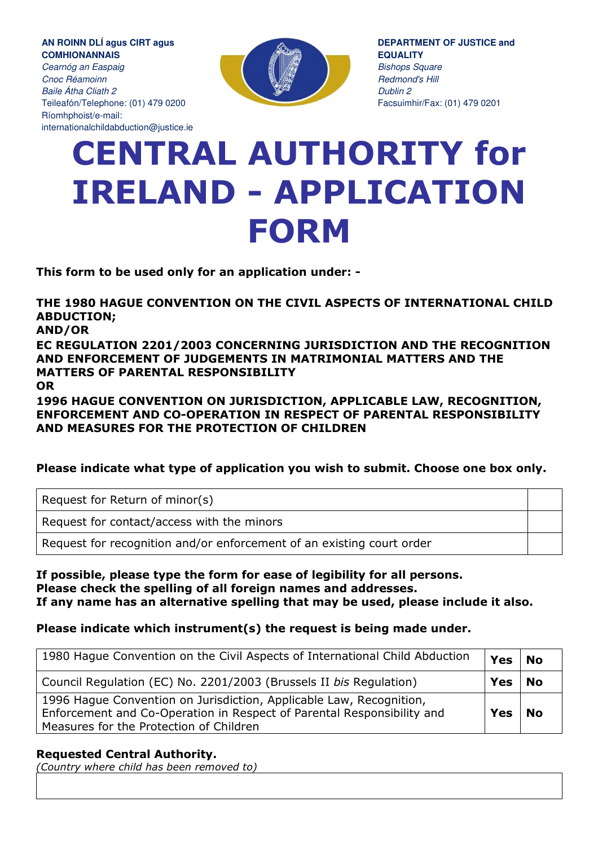**AN ROINN DLÍ agus CIRT agus COMHIONANNAIS** 

Cearnóg an Easpaig Cnoc Réamoinn Baile Átha Cliath 2 Teileafón/Telephone: (01) 479 0200 Ríomhphoist/e-mail: internationalchildabduction@justice.ie



**DEPARTMENT OF JUSTICE and EQUALITY Bishops Square** Redmond's Hill Dublin 2 Facsuimhir/Fax: (01) 479 0201

# CENTRAL AUTHORITY for IRELAND - APPLICATION FORM

This form to be used only for an application under: -

THE 1980 HAGUE CONVENTION ON THE CIVIL ASPECTS OF INTERNATIONAL CHILD ABDUCTION; AND/OR

EC REGULATION 2201/2003 CONCERNING JURISDICTION AND THE RECOGNITION AND ENFORCEMENT OF JUDGEMENTS IN MATRIMONIAL MATTERS AND THE MATTERS OF PARENTAL RESPONSIBILITY OR

1996 HAGUE CONVENTION ON JURISDICTION, APPLICABLE LAW, RECOGNITION, ENFORCEMENT AND CO-OPERATION IN RESPECT OF PARENTAL RESPONSIBILITY AND MEASURES FOR THE PROTECTION OF CHILDREN

#### Please indicate what type of application you wish to submit. Choose one box only.

Request for Return of minor(s)

Request for contact/access with the minors

Request for recognition and/or enforcement of an existing court order

If possible, please type the form for ease of legibility for all persons. Please check the spelling of all foreign names and addresses. If any name has an alternative spelling that may be used, please include it also.

#### Please indicate which instrument(s) the request is being made under.

| 1980 Hague Convention on the Civil Aspects of International Child Abduction                                                                                                              | <b>Yes</b> | l No      |
|------------------------------------------------------------------------------------------------------------------------------------------------------------------------------------------|------------|-----------|
| Council Regulation (EC) No. 2201/2003 (Brussels II bis Regulation)                                                                                                                       | Yes        | <b>No</b> |
| 1996 Hague Convention on Jurisdiction, Applicable Law, Recognition,<br>Enforcement and Co-Operation in Respect of Parental Responsibility and<br>Measures for the Protection of Children | <b>Yes</b> | ' No      |

#### Requested Central Authority.

(Country where child has been removed to)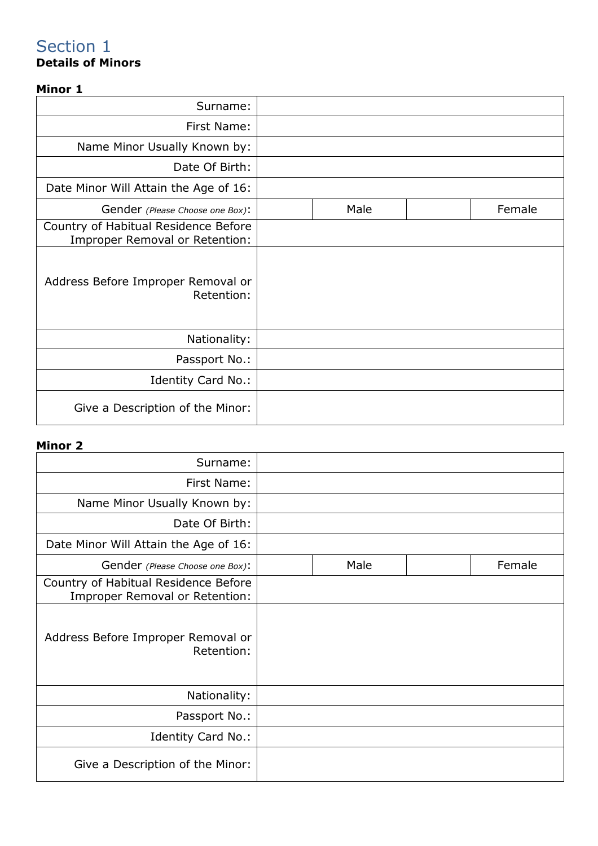## Details of Minors

### Minor 1

| Surname:                                                               |      |        |
|------------------------------------------------------------------------|------|--------|
| First Name:                                                            |      |        |
| Name Minor Usually Known by:                                           |      |        |
| Date Of Birth:                                                         |      |        |
| Date Minor Will Attain the Age of 16:                                  |      |        |
| Gender (Please Choose one Box):                                        | Male | Female |
| Country of Habitual Residence Before<br>Improper Removal or Retention: |      |        |
| Address Before Improper Removal or<br>Retention:                       |      |        |
| Nationality:                                                           |      |        |
| Passport No.:                                                          |      |        |
| Identity Card No.:                                                     |      |        |
| Give a Description of the Minor:                                       |      |        |

#### Minor 2

| Surname:                                                               |      |        |
|------------------------------------------------------------------------|------|--------|
| First Name:                                                            |      |        |
| Name Minor Usually Known by:                                           |      |        |
| Date Of Birth:                                                         |      |        |
| Date Minor Will Attain the Age of 16:                                  |      |        |
| Gender (Please Choose one Box):                                        | Male | Female |
| Country of Habitual Residence Before<br>Improper Removal or Retention: |      |        |
| Address Before Improper Removal or<br>Retention:                       |      |        |
| Nationality:                                                           |      |        |
| Passport No.:                                                          |      |        |
| Identity Card No.:                                                     |      |        |
| Give a Description of the Minor:                                       |      |        |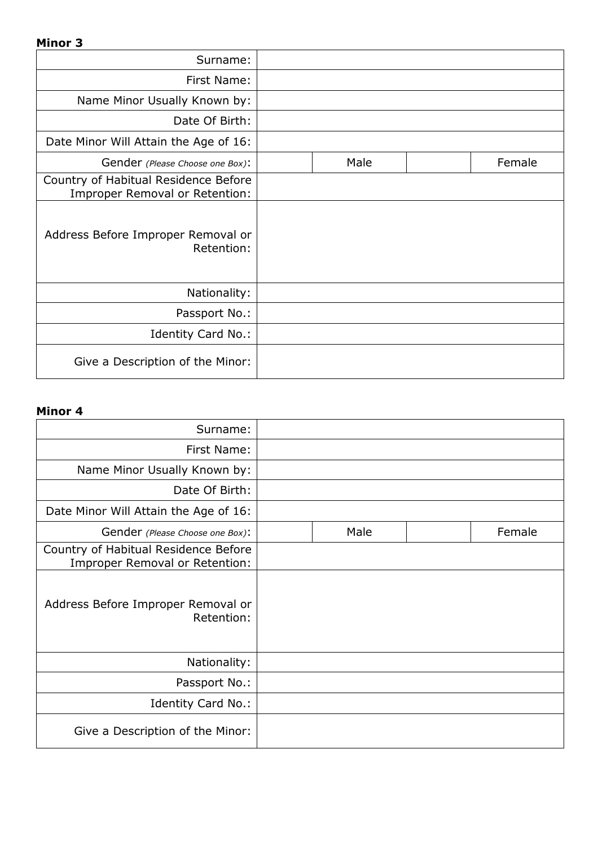#### Minor 3

| Surname:                                                               |      |        |
|------------------------------------------------------------------------|------|--------|
| First Name:                                                            |      |        |
| Name Minor Usually Known by:                                           |      |        |
| Date Of Birth:                                                         |      |        |
| Date Minor Will Attain the Age of 16:                                  |      |        |
| Gender (Please Choose one Box):                                        | Male | Female |
| Country of Habitual Residence Before<br>Improper Removal or Retention: |      |        |
| Address Before Improper Removal or<br>Retention:                       |      |        |
| Nationality:                                                           |      |        |
| Passport No.:                                                          |      |        |
| Identity Card No.:                                                     |      |        |
| Give a Description of the Minor:                                       |      |        |

#### Minor 4

| Surname:                                                               |      |        |
|------------------------------------------------------------------------|------|--------|
| First Name:                                                            |      |        |
| Name Minor Usually Known by:                                           |      |        |
| Date Of Birth:                                                         |      |        |
| Date Minor Will Attain the Age of 16:                                  |      |        |
| Gender (Please Choose one Box):                                        | Male | Female |
| Country of Habitual Residence Before<br>Improper Removal or Retention: |      |        |
| Address Before Improper Removal or<br>Retention:                       |      |        |
| Nationality:                                                           |      |        |
| Passport No.:                                                          |      |        |
| Identity Card No.:                                                     |      |        |
| Give a Description of the Minor:                                       |      |        |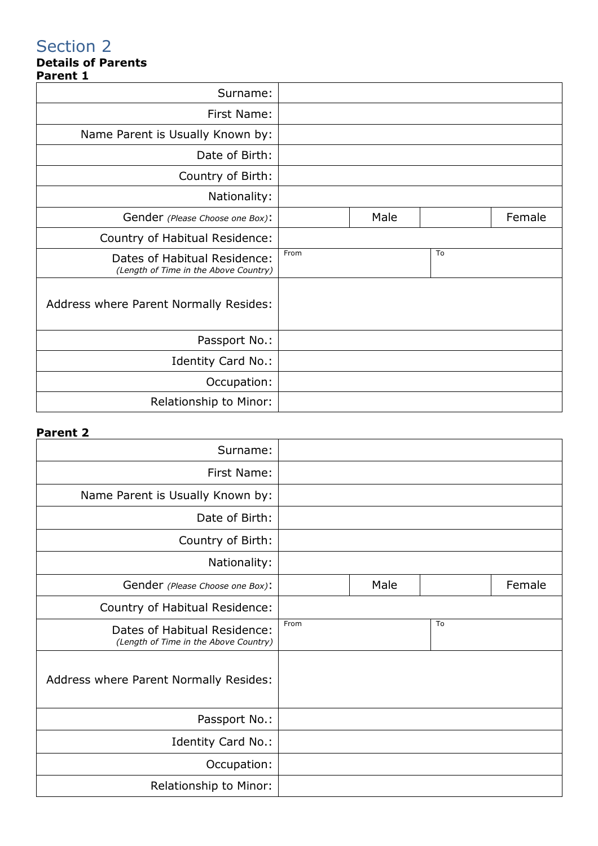#### Details of Parents Parent 1

| r ul Cill 1                                                           |      |      |    |        |
|-----------------------------------------------------------------------|------|------|----|--------|
| Surname:                                                              |      |      |    |        |
| First Name:                                                           |      |      |    |        |
| Name Parent is Usually Known by:                                      |      |      |    |        |
| Date of Birth:                                                        |      |      |    |        |
| Country of Birth:                                                     |      |      |    |        |
| Nationality:                                                          |      |      |    |        |
| Gender (Please Choose one Box):                                       |      | Male |    | Female |
| Country of Habitual Residence:                                        |      |      |    |        |
| Dates of Habitual Residence:<br>(Length of Time in the Above Country) | From |      | To |        |
| Address where Parent Normally Resides:                                |      |      |    |        |
| Passport No.:                                                         |      |      |    |        |
| Identity Card No.:                                                    |      |      |    |        |
| Occupation:                                                           |      |      |    |        |
| Relationship to Minor:                                                |      |      |    |        |

#### Parent 2

| Surname:                                                              |      |      |    |        |
|-----------------------------------------------------------------------|------|------|----|--------|
| First Name:                                                           |      |      |    |        |
| Name Parent is Usually Known by:                                      |      |      |    |        |
| Date of Birth:                                                        |      |      |    |        |
| Country of Birth:                                                     |      |      |    |        |
| Nationality:                                                          |      |      |    |        |
| Gender (Please Choose one Box):                                       |      | Male |    | Female |
| Country of Habitual Residence:                                        |      |      |    |        |
| Dates of Habitual Residence:<br>(Length of Time in the Above Country) | From |      | To |        |
|                                                                       |      |      |    |        |
| Address where Parent Normally Resides:                                |      |      |    |        |
| Passport No.:                                                         |      |      |    |        |
| Identity Card No.:                                                    |      |      |    |        |
| Occupation:                                                           |      |      |    |        |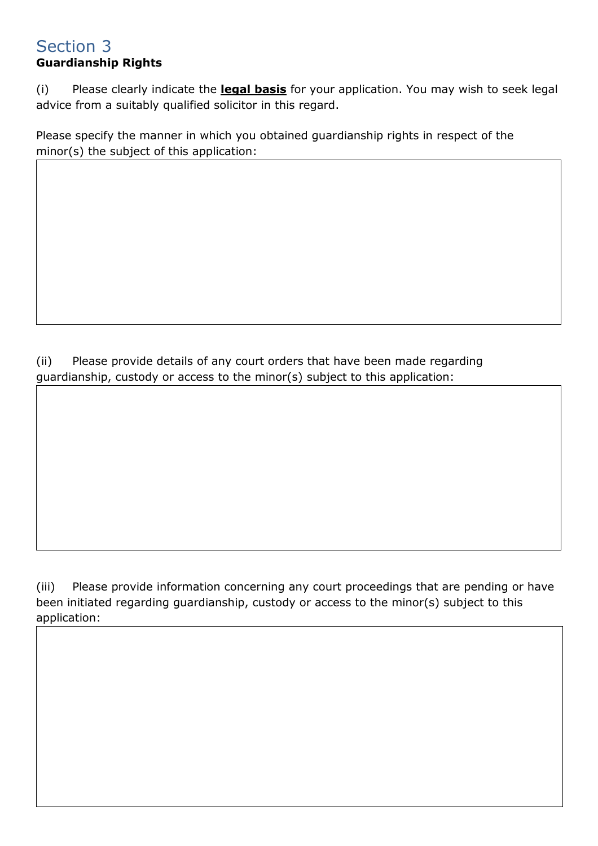## Guardianship Rights

(i) Please clearly indicate the **legal basis** for your application. You may wish to seek legal advice from a suitably qualified solicitor in this regard.

Please specify the manner in which you obtained guardianship rights in respect of the minor(s) the subject of this application:

(ii) Please provide details of any court orders that have been made regarding guardianship, custody or access to the minor(s) subject to this application:

(iii) Please provide information concerning any court proceedings that are pending or have been initiated regarding guardianship, custody or access to the minor(s) subject to this application: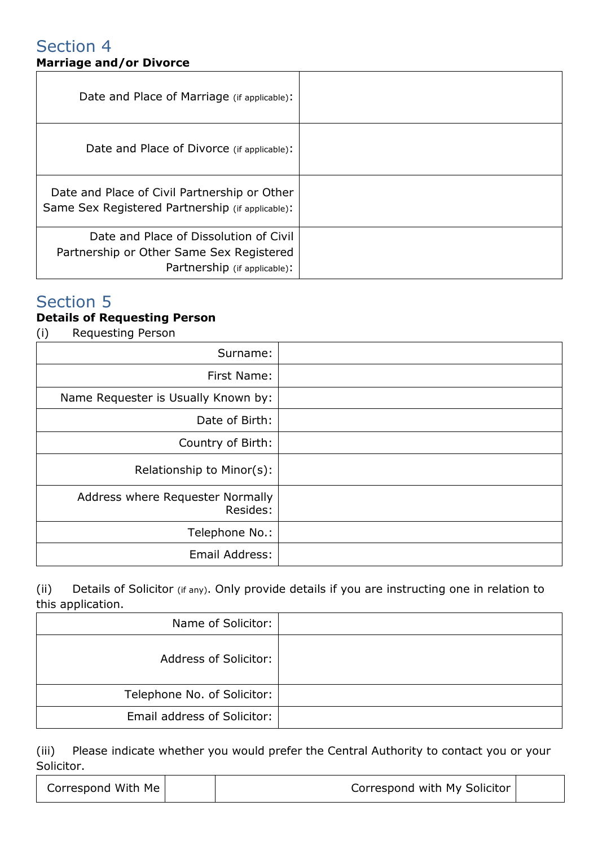## Section 4 Marriage and/or Divorce

| Date and Place of Marriage (if applicable):                                                                        |  |
|--------------------------------------------------------------------------------------------------------------------|--|
| Date and Place of Divorce (if applicable):                                                                         |  |
| Date and Place of Civil Partnership or Other<br>Same Sex Registered Partnership (if applicable):                   |  |
| Date and Place of Dissolution of Civil<br>Partnership or Other Same Sex Registered<br>Partnership (if applicable): |  |

## Section 5

## Details of Requesting Person

(i) Requesting Person

| Surname:                                     |
|----------------------------------------------|
| First Name:                                  |
| Name Requester is Usually Known by:          |
| Date of Birth:                               |
| Country of Birth:                            |
| Relationship to Minor(s):                    |
| Address where Requester Normally<br>Resides: |
| Telephone No.:                               |
| Email Address:                               |

(ii) Details of Solicitor (if any). Only provide details if you are instructing one in relation to this application.

| Name of Solicitor:                 |  |
|------------------------------------|--|
| <b>Address of Solicitor:</b>       |  |
| Telephone No. of Solicitor:        |  |
| <b>Email address of Solicitor:</b> |  |

(iii) Please indicate whether you would prefer the Central Authority to contact you or your Solicitor.

| Correspond With Me | Correspond with My Solicitor |  |
|--------------------|------------------------------|--|
|                    |                              |  |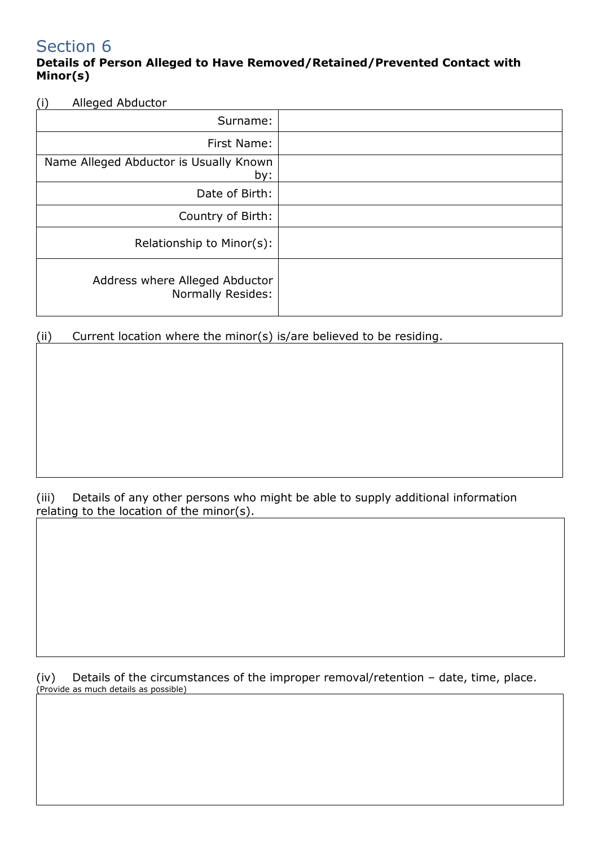#### Details of Person Alleged to Have Removed/Retained/Prevented Contact with Minor(s)

(i) Alleged Abductor

| Surname:                                            |
|-----------------------------------------------------|
| First Name:                                         |
| Name Alleged Abductor is Usually Known<br>by:       |
| Date of Birth:                                      |
| Country of Birth:                                   |
| Relationship to Minor(s):                           |
| Address where Alleged Abductor<br>Normally Resides: |

(ii) Current location where the minor(s) is/are believed to be residing.

(iii) Details of any other persons who might be able to supply additional information relating to the location of the minor(s).

(iv) Details of the circumstances of the improper removal/retention – date, time, place. (Provide as much details as possible)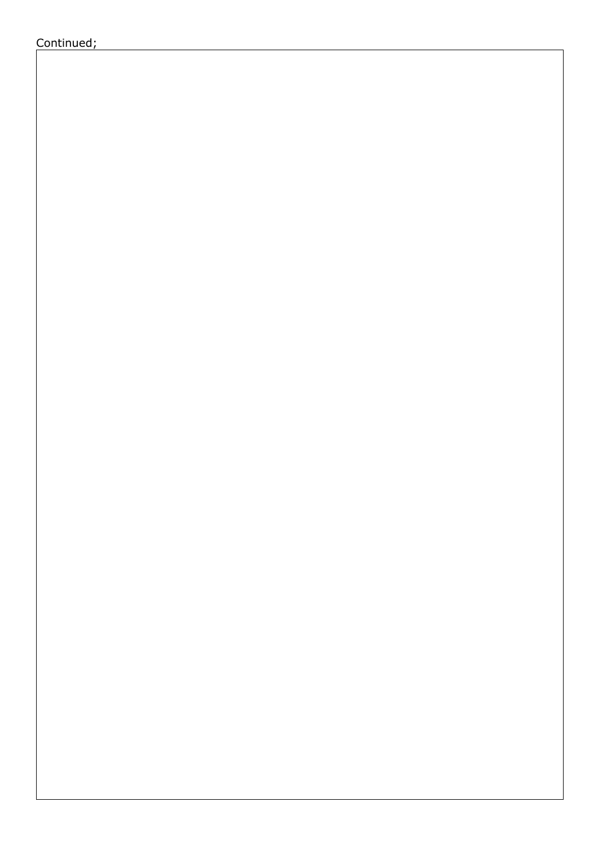Continued;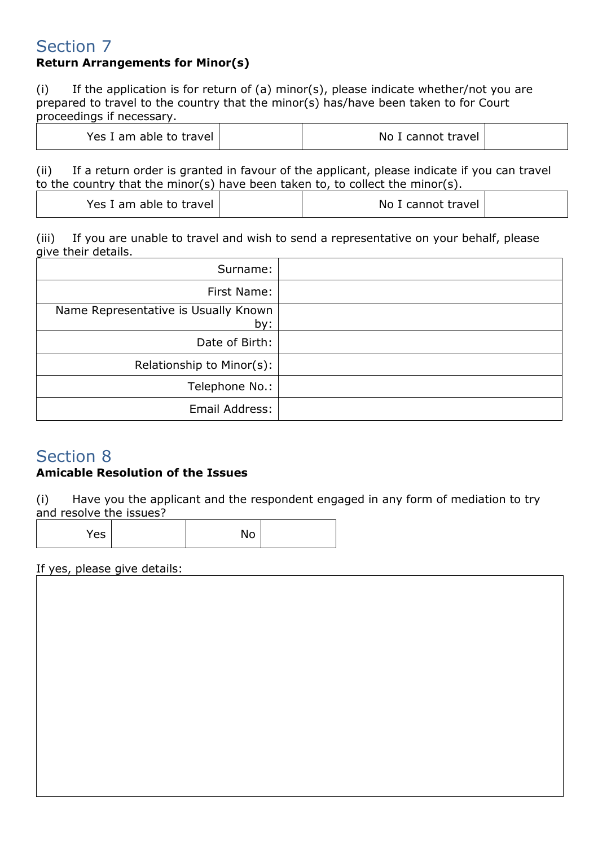## Return Arrangements for Minor(s)

(i) If the application is for return of (a) minor(s), please indicate whether/not you are prepared to travel to the country that the minor(s) has/have been taken to for Court proceedings if necessary.

| Yes I am able to travel | No I cannot travel |
|-------------------------|--------------------|
|-------------------------|--------------------|

(ii) If a return order is granted in favour of the applicant, please indicate if you can travel to the country that the minor(s) have been taken to, to collect the minor(s).

| Yes I am able to travel |  | No I cannot travel |  |
|-------------------------|--|--------------------|--|
|-------------------------|--|--------------------|--|

(iii) If you are unable to travel and wish to send a representative on your behalf, please give their details.

| Surname:                                    |  |
|---------------------------------------------|--|
| First Name:                                 |  |
| Name Representative is Usually Known<br>by: |  |
| Date of Birth:                              |  |
| Relationship to Minor(s):                   |  |
| Telephone No.:                              |  |
| Email Address:                              |  |

# Section 8

#### Amicable Resolution of the Issues

(i) Have you the applicant and the respondent engaged in any form of mediation to try and resolve the issues?

Yes No

If yes, please give details: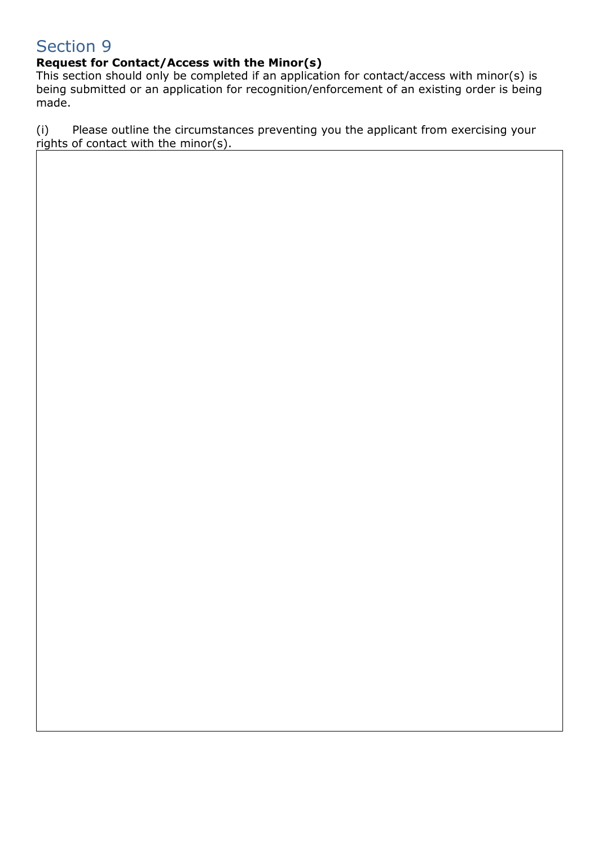## Request for Contact/Access with the Minor(s)

This section should only be completed if an application for contact/access with minor(s) is being submitted or an application for recognition/enforcement of an existing order is being made.

(i) Please outline the circumstances preventing you the applicant from exercising your rights of contact with the minor(s).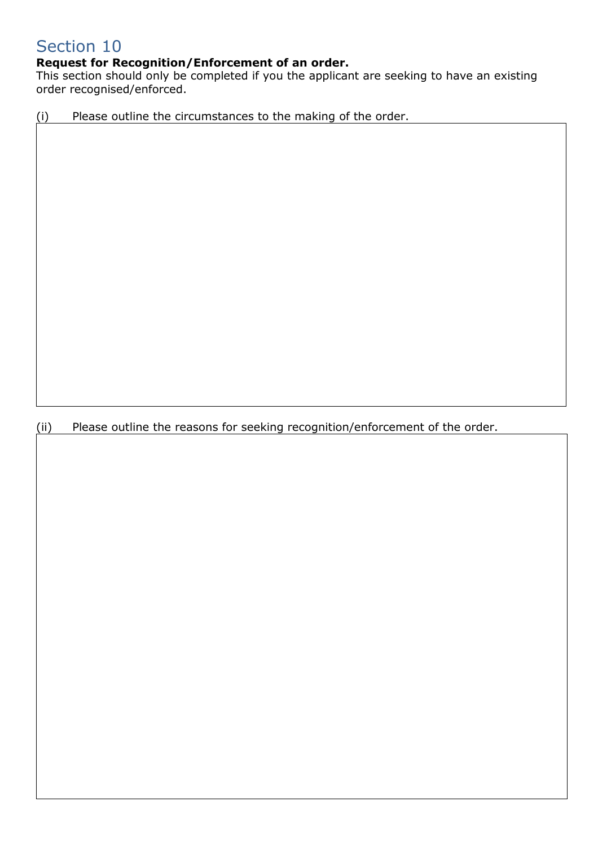### Request for Recognition/Enforcement of an order.

This section should only be completed if you the applicant are seeking to have an existing order recognised/enforced.

(i) Please outline the circumstances to the making of the order.

(ii) Please outline the reasons for seeking recognition/enforcement of the order.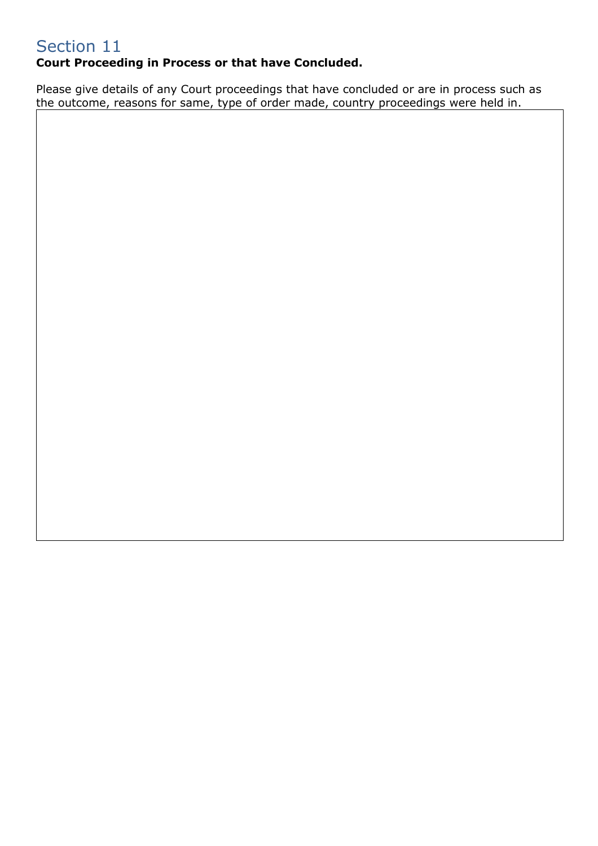## Court Proceeding in Process or that have Concluded.

Please give details of any Court proceedings that have concluded or are in process such as the outcome, reasons for same, type of order made, country proceedings were held in.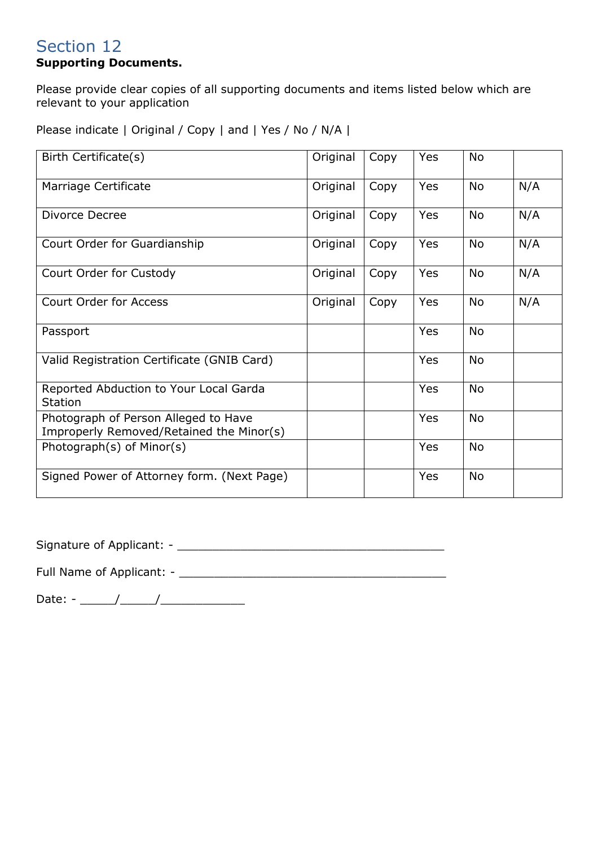## Supporting Documents.

Please provide clear copies of all supporting documents and items listed below which are relevant to your application

Please indicate | Original / Copy | and | Yes / No / N/A |

| Birth Certificate(s)                                                             | Original | Copy | Yes        | <b>No</b> |     |
|----------------------------------------------------------------------------------|----------|------|------------|-----------|-----|
| Marriage Certificate                                                             | Original | Copy | <b>Yes</b> | <b>No</b> | N/A |
| Divorce Decree                                                                   | Original | Copy | <b>Yes</b> | No        | N/A |
| Court Order for Guardianship                                                     | Original | Copy | Yes        | <b>No</b> | N/A |
| Court Order for Custody                                                          | Original | Copy | Yes        | <b>No</b> | N/A |
| <b>Court Order for Access</b>                                                    | Original | Copy | Yes        | <b>No</b> | N/A |
| Passport                                                                         |          |      | <b>Yes</b> | <b>No</b> |     |
| Valid Registration Certificate (GNIB Card)                                       |          |      | Yes        | No        |     |
| Reported Abduction to Your Local Garda<br><b>Station</b>                         |          |      | Yes        | <b>No</b> |     |
| Photograph of Person Alleged to Have<br>Improperly Removed/Retained the Minor(s) |          |      | <b>Yes</b> | <b>No</b> |     |
| Photograph(s) of Minor(s)                                                        |          |      | Yes        | No        |     |
| Signed Power of Attorney form. (Next Page)                                       |          |      | Yes        | No        |     |

Signature of Applicant: - \_\_\_\_\_\_\_\_\_\_\_\_\_\_\_\_\_\_\_\_\_\_\_\_\_\_\_\_\_\_\_\_\_\_\_\_\_\_

Full Name of Applicant: - \_\_\_\_\_\_\_\_\_\_\_\_\_\_\_\_\_\_\_\_\_\_\_\_\_\_\_\_\_\_\_\_\_\_\_\_\_\_

Date: - \_\_\_\_\_/\_\_\_\_\_/\_\_\_\_\_\_\_\_\_\_\_\_